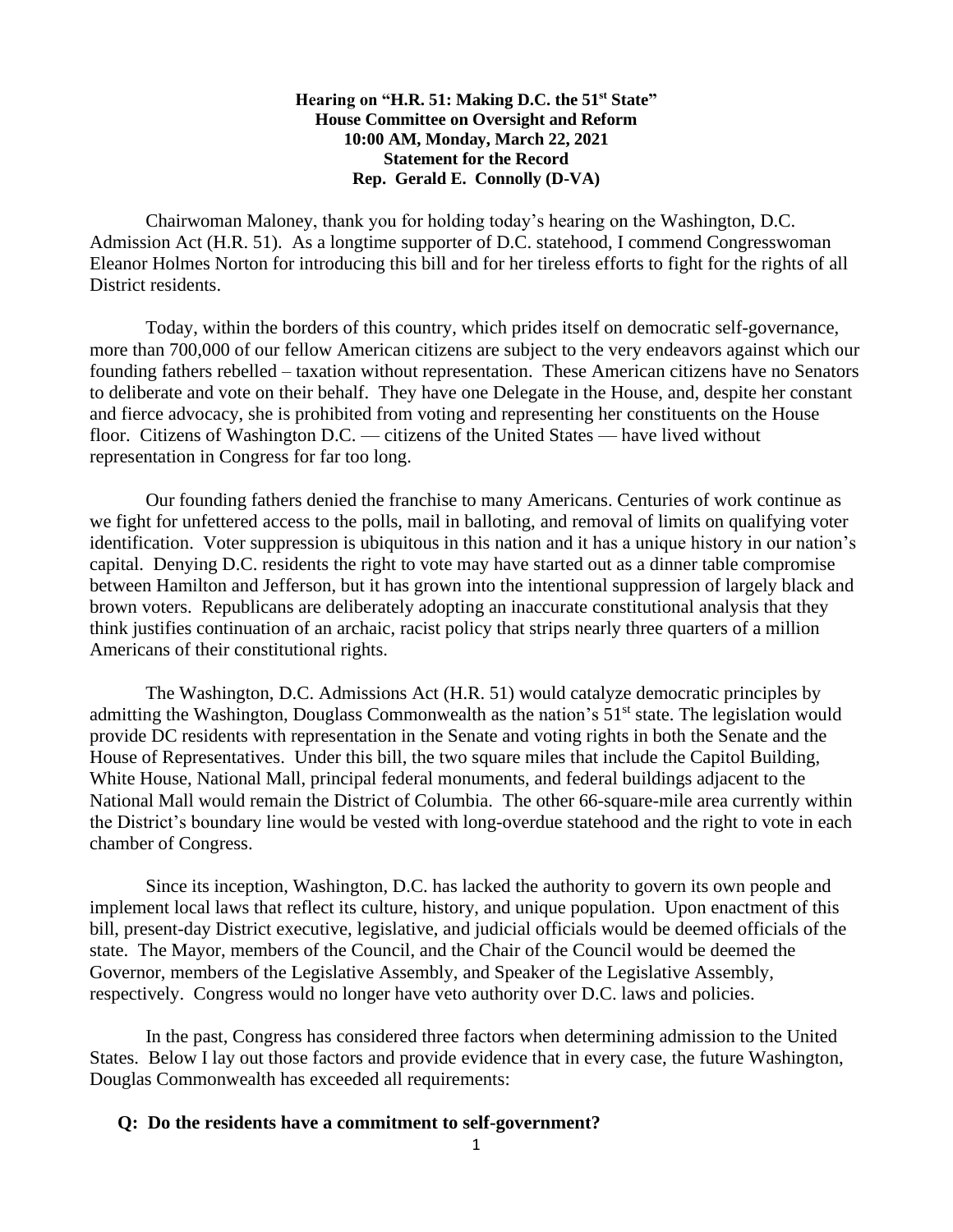## **Hearing on "H.R. 51: Making D.C. the 51st State" House Committee on Oversight and Reform 10:00 AM, Monday, March 22, 2021 Statement for the Record Rep. Gerald E. Connolly (D-VA)**

Chairwoman Maloney, thank you for holding today's hearing on the Washington, D.C. Admission Act (H.R. 51). As a longtime supporter of D.C. statehood, I commend Congresswoman Eleanor Holmes Norton for introducing this bill and for her tireless efforts to fight for the rights of all District residents.

Today, within the borders of this country, which prides itself on democratic self-governance, more than 700,000 of our fellow American citizens are subject to the very endeavors against which our founding fathers rebelled – taxation without representation. These American citizens have no Senators to deliberate and vote on their behalf. They have one Delegate in the House, and, despite her constant and fierce advocacy, she is prohibited from voting and representing her constituents on the House floor. Citizens of Washington D.C. — citizens of the United States — have lived without representation in Congress for far too long.

Our founding fathers denied the franchise to many Americans. Centuries of work continue as we fight for unfettered access to the polls, mail in balloting, and removal of limits on qualifying voter identification. Voter suppression is ubiquitous in this nation and it has a unique history in our nation's capital. Denying D.C. residents the right to vote may have started out as a dinner table compromise between Hamilton and Jefferson, but it has grown into the intentional suppression of largely black and brown voters. Republicans are deliberately adopting an inaccurate constitutional analysis that they think justifies continuation of an archaic, racist policy that strips nearly three quarters of a million Americans of their constitutional rights.

The Washington, D.C. Admissions Act (H.R. 51) would catalyze democratic principles by admitting the Washington, Douglass Commonwealth as the nation's 51<sup>st</sup> state. The legislation would provide DC residents with representation in the Senate and voting rights in both the Senate and the House of Representatives. Under this bill, the two square miles that include the Capitol Building, White House, National Mall, principal federal monuments, and federal buildings adjacent to the National Mall would remain the District of Columbia. The other 66-square-mile area currently within the District's boundary line would be vested with long-overdue statehood and the right to vote in each chamber of Congress.

Since its inception, Washington, D.C. has lacked the authority to govern its own people and implement local laws that reflect its culture, history, and unique population. Upon enactment of this bill, present-day District executive, legislative, and judicial officials would be deemed officials of the state. The Mayor, members of the Council, and the Chair of the Council would be deemed the Governor, members of the Legislative Assembly, and Speaker of the Legislative Assembly, respectively. Congress would no longer have veto authority over D.C. laws and policies.

In the past, Congress has considered three factors when determining admission to the United States. Below I lay out those factors and provide evidence that in every case, the future Washington, Douglas Commonwealth has exceeded all requirements:

## **Q: Do the residents have a commitment to self-government?**